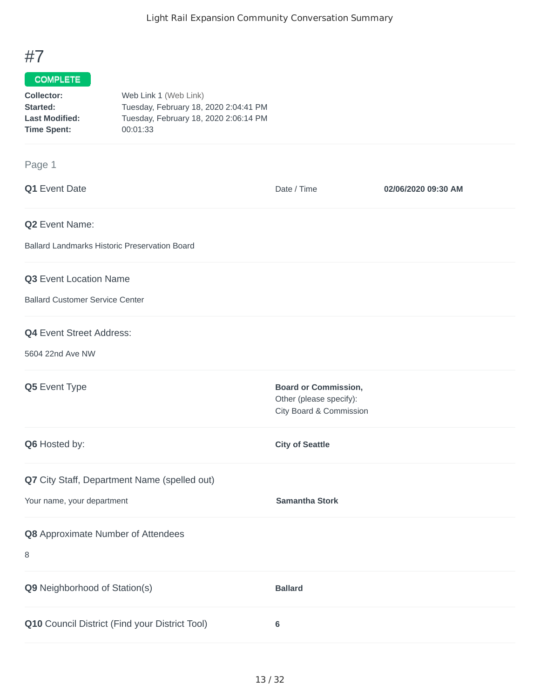# #7

## COMPLETE

| Collector:            | Web Link 1 (Web Link)                 |
|-----------------------|---------------------------------------|
| Started:              | Tuesday, February 18, 2020 2:04:41 PM |
| <b>Last Modified:</b> | Tuesday, February 18, 2020 2:06:14 PM |
| <b>Time Spent:</b>    | 00:01:33                              |

### Page 1

| Q1 Event Date                                        | Date / Time                                            | 02/06/2020 09:30 AM |
|------------------------------------------------------|--------------------------------------------------------|---------------------|
| Q2 Event Name:                                       |                                                        |                     |
| <b>Ballard Landmarks Historic Preservation Board</b> |                                                        |                     |
| Q3 Event Location Name                               |                                                        |                     |
| <b>Ballard Customer Service Center</b>               |                                                        |                     |
| <b>Q4</b> Event Street Address:                      |                                                        |                     |
| 5604 22nd Ave NW                                     |                                                        |                     |
| Q5 Event Type                                        | <b>Board or Commission,</b><br>Other (please specify): |                     |
|                                                      | City Board & Commission                                |                     |
| Q6 Hosted by:                                        | <b>City of Seattle</b>                                 |                     |
| Q7 City Staff, Department Name (spelled out)         |                                                        |                     |
| Your name, your department                           | <b>Samantha Stork</b>                                  |                     |
| Q8 Approximate Number of Attendees                   |                                                        |                     |
| 8                                                    |                                                        |                     |
| Q9 Neighborhood of Station(s)                        | <b>Ballard</b>                                         |                     |
| Q10 Council District (Find your District Tool)       | $\bf 6$                                                |                     |